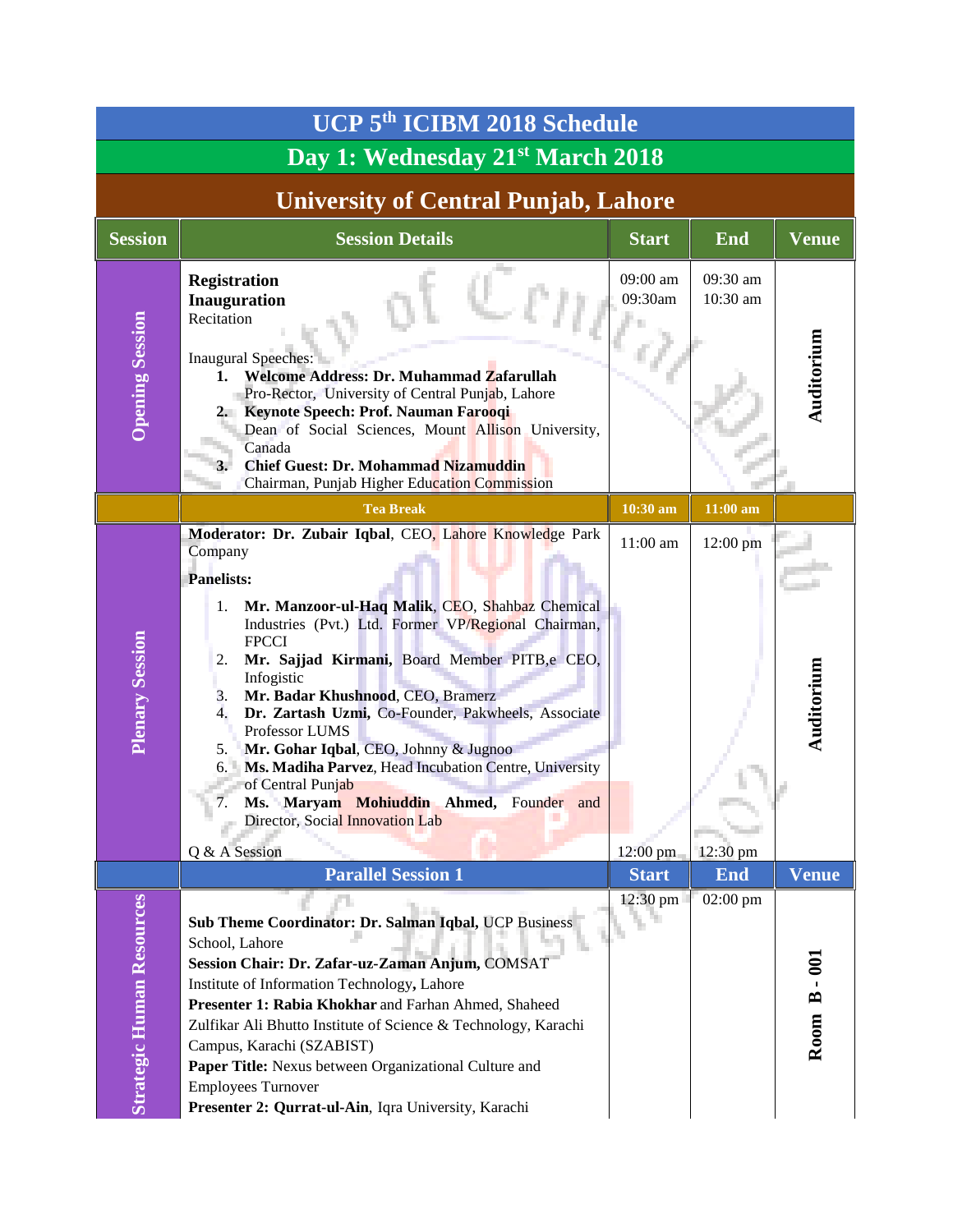| UCP 5 <sup>th</sup> ICIBM 2018 Schedule      |                                                                                                                                                                                                                                                                                                                                                                                                                                                                                                                                                                                                                                                                      |                      |                      |              |  |
|----------------------------------------------|----------------------------------------------------------------------------------------------------------------------------------------------------------------------------------------------------------------------------------------------------------------------------------------------------------------------------------------------------------------------------------------------------------------------------------------------------------------------------------------------------------------------------------------------------------------------------------------------------------------------------------------------------------------------|----------------------|----------------------|--------------|--|
| Day 1: Wednesday 21 <sup>st</sup> March 2018 |                                                                                                                                                                                                                                                                                                                                                                                                                                                                                                                                                                                                                                                                      |                      |                      |              |  |
| <b>University of Central Punjab, Lahore</b>  |                                                                                                                                                                                                                                                                                                                                                                                                                                                                                                                                                                                                                                                                      |                      |                      |              |  |
| <b>Session</b>                               | <b>Session Details</b>                                                                                                                                                                                                                                                                                                                                                                                                                                                                                                                                                                                                                                               | <b>Start</b>         | <b>End</b>           | <b>Venue</b> |  |
| <b>Opening Session</b>                       | <b>Registration</b><br><b>Inauguration</b><br>Recitation<br><b>Inaugural Speeches:</b><br>Welcome Address: Dr. Muhammad Zafarullah<br>1.<br>Pro-Rector, University of Central Punjab, Lahore<br>2. Keynote Speech: Prof. Nauman Farooqi<br>Dean of Social Sciences, Mount Allison University,<br>Canada<br><b>Chief Guest: Dr. Mohammad Nizamuddin</b><br>Chairman, Punjab Higher Education Commission                                                                                                                                                                                                                                                               | 09:00 am<br>09:30am  | 09:30 am<br>10:30 am | Auditorium   |  |
|                                              | <b>Tea Break</b>                                                                                                                                                                                                                                                                                                                                                                                                                                                                                                                                                                                                                                                     | 10:30 am             | 11:00 am             |              |  |
| <b>Plenary Session</b>                       | Moderator: Dr. Zubair Iqbal, CEO, Lahore Knowledge Park<br>Company<br><b>Panelists:</b><br>Mr. Manzoor-ul-Haq Malik, CEO, Shahbaz Chemical<br>1.<br>Industries (Pvt.) Ltd. Former VP/Regional Chairman,<br><b>FPCCI</b><br>Mr. Sajjad Kirmani, Board Member PITB,e CEO,<br>2.<br>Infogistic<br>Mr. Badar Khushnood, CEO, Bramerz<br>3.<br>$\overline{4}$ .<br>Dr. Zartash Uzmi, Co-Founder, Pakwheels, Associate<br>Professor LUMS<br>Mr. Gohar Iqbal, CEO, Johnny & Jugnoo<br>5.<br>Ms. Madiha Parvez, Head Incubation Centre, University<br>6.<br>of Central Punjab<br>Ms. Maryam Mohiuddin Ahmed, Founder and<br>Director, Social Innovation Lab<br>Q & A Session | 11:00 am<br>12:00 pm | 12:00 pm<br>12:30 pm | Auditorium   |  |
|                                              | <b>Parallel Session 1</b>                                                                                                                                                                                                                                                                                                                                                                                                                                                                                                                                                                                                                                            | <b>Start</b>         | <b>End</b>           | Venue        |  |
| <b>Strategic Human Resources</b>             | Sub Theme Coordinator: Dr. Salman Iqbal, UCP Business<br>School, Lahore<br>Session Chair: Dr. Zafar-uz-Zaman Anjum, COMSAT<br>Institute of Information Technology, Lahore<br>Presenter 1: Rabia Khokhar and Farhan Ahmed, Shaheed<br>Zulfikar Ali Bhutto Institute of Science & Technology, Karachi<br>Campus, Karachi (SZABIST)<br>Paper Title: Nexus between Organizational Culture and<br><b>Employees Turnover</b><br>Presenter 2: Qurrat-ul-Ain, Iqra University, Karachi                                                                                                                                                                                       | 12:30 pm             | 02:00 pm             | Room B - 001 |  |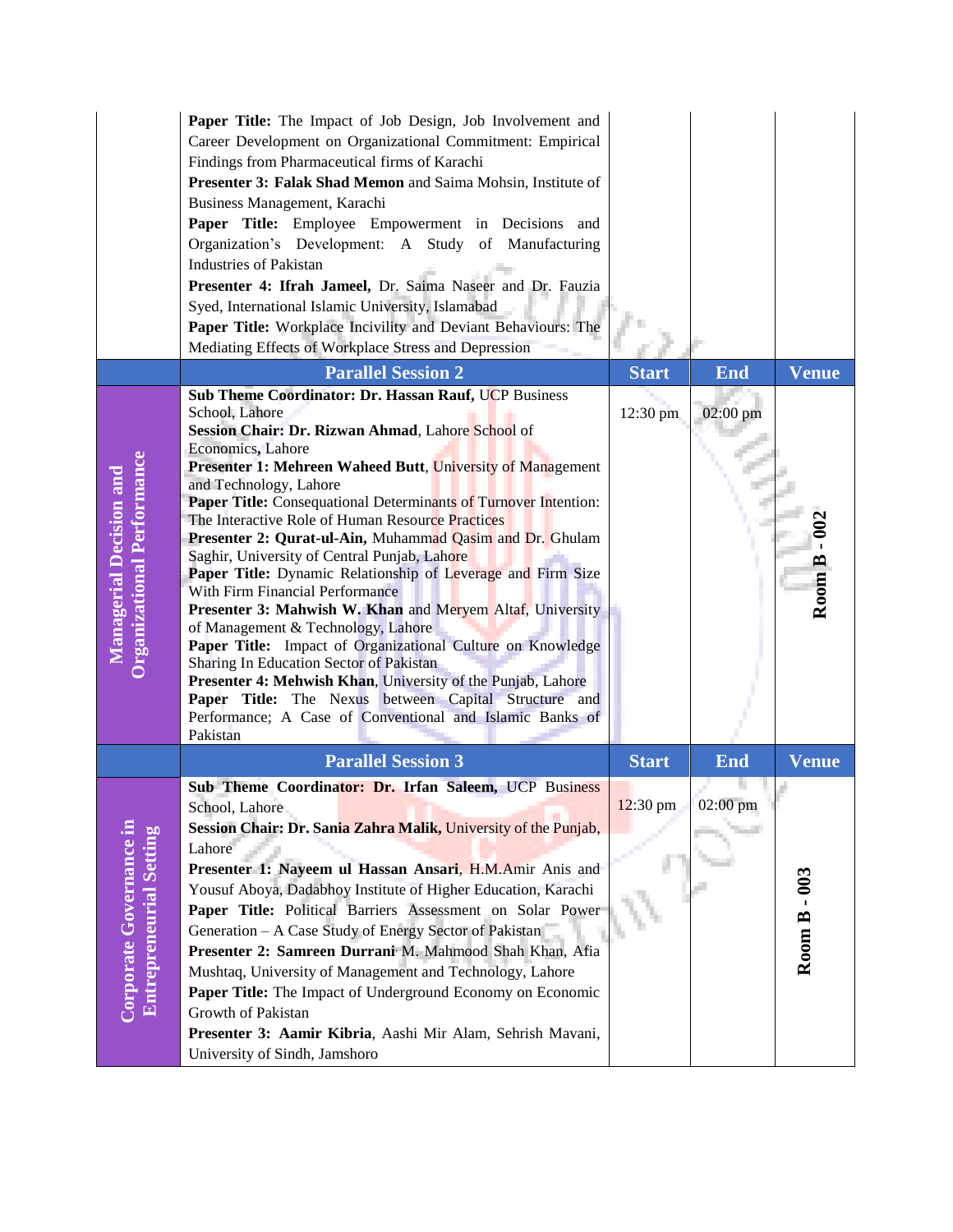|                                                              | Paper Title: The Impact of Job Design, Job Involvement and<br>Career Development on Organizational Commitment: Empirical<br>Findings from Pharmaceutical firms of Karachi<br>Presenter 3: Falak Shad Memon and Saima Mohsin, Institute of<br>Business Management, Karachi<br>Paper Title: Employee Empowerment in Decisions and<br>Organization's Development: A Study of Manufacturing<br><b>Industries of Pakistan</b><br>Presenter 4: Ifrah Jameel, Dr. Saima Naseer and Dr. Fauzia<br>Syed, International Islamic University, Islamabad<br>Paper Title: Workplace Incivility and Deviant Behaviours: The<br>Mediating Effects of Workplace Stress and Depression |                    |            |                   |
|--------------------------------------------------------------|----------------------------------------------------------------------------------------------------------------------------------------------------------------------------------------------------------------------------------------------------------------------------------------------------------------------------------------------------------------------------------------------------------------------------------------------------------------------------------------------------------------------------------------------------------------------------------------------------------------------------------------------------------------------|--------------------|------------|-------------------|
|                                                              | <b>Parallel Session 2</b><br>Sub Theme Coordinator: Dr. Hassan Rauf, UCP Business                                                                                                                                                                                                                                                                                                                                                                                                                                                                                                                                                                                    | <b>Start</b>       | <b>End</b> | <b>Venue</b>      |
|                                                              | School, Lahore                                                                                                                                                                                                                                                                                                                                                                                                                                                                                                                                                                                                                                                       | 12:30 pm           | 02:00 pm   |                   |
|                                                              | Session Chair: Dr. Rizwan Ahmad, Lahore School of<br>Economics, Lahore                                                                                                                                                                                                                                                                                                                                                                                                                                                                                                                                                                                               |                    |            |                   |
|                                                              | <b>Presenter 1: Mehreen Waheed Butt, University of Management</b>                                                                                                                                                                                                                                                                                                                                                                                                                                                                                                                                                                                                    |                    |            |                   |
| Organizational Performance<br><b>Managerial Decision and</b> | and Technology, Lahore<br>Paper Title: Consequational Determinants of Turnover Intention:                                                                                                                                                                                                                                                                                                                                                                                                                                                                                                                                                                            |                    |            |                   |
|                                                              | The Interactive Role of Human Resource Practices                                                                                                                                                                                                                                                                                                                                                                                                                                                                                                                                                                                                                     |                    |            |                   |
|                                                              | Presenter 2: Qurat-ul-Ain, Muhammad Qasim and Dr. Ghulam                                                                                                                                                                                                                                                                                                                                                                                                                                                                                                                                                                                                             |                    |            |                   |
|                                                              | Saghir, University of Central Punjab, Lahore<br>Paper Title: Dynamic Relationship of Leverage and Firm Size                                                                                                                                                                                                                                                                                                                                                                                                                                                                                                                                                          |                    |            | Room B            |
|                                                              | With Firm Financial Performance<br>Presenter 3: Mahwish W. Khan and Meryem Altaf, University                                                                                                                                                                                                                                                                                                                                                                                                                                                                                                                                                                         |                    |            |                   |
|                                                              | of Management & Technology, Lahore                                                                                                                                                                                                                                                                                                                                                                                                                                                                                                                                                                                                                                   |                    |            |                   |
|                                                              | Paper Title: Impact of Organizational Culture on Knowledge<br>Sharing In Education Sector of Pakistan                                                                                                                                                                                                                                                                                                                                                                                                                                                                                                                                                                |                    |            |                   |
|                                                              | Presenter 4: Mehwish Khan, University of the Punjab, Lahore                                                                                                                                                                                                                                                                                                                                                                                                                                                                                                                                                                                                          |                    |            |                   |
|                                                              | Paper Title: The Nexus between Capital Structure and<br>Performance; A Case of Conventional and Islamic Banks of                                                                                                                                                                                                                                                                                                                                                                                                                                                                                                                                                     |                    |            |                   |
|                                                              | Pakistan                                                                                                                                                                                                                                                                                                                                                                                                                                                                                                                                                                                                                                                             |                    |            |                   |
|                                                              | <b>Parallel Session 3</b>                                                                                                                                                                                                                                                                                                                                                                                                                                                                                                                                                                                                                                            | <b>Start</b>       | <b>End</b> | <b>Venue</b>      |
|                                                              | Sub Theme Coordinator: Dr. Irfan Saleem, UCP Business                                                                                                                                                                                                                                                                                                                                                                                                                                                                                                                                                                                                                |                    |            |                   |
|                                                              | School, Lahore<br>Session Chair: Dr. Sania Zahra Malik, University of the Punjab,                                                                                                                                                                                                                                                                                                                                                                                                                                                                                                                                                                                    | $12:30 \text{ pm}$ | 02:00 pm   |                   |
|                                                              | Lahore                                                                                                                                                                                                                                                                                                                                                                                                                                                                                                                                                                                                                                                               |                    |            |                   |
|                                                              | Presenter 1: Nayeem ul Hassan Ansari, H.M.Amir Anis and                                                                                                                                                                                                                                                                                                                                                                                                                                                                                                                                                                                                              |                    |            |                   |
|                                                              | Yousuf Aboya, Dadabhoy Institute of Higher Education, Karachi                                                                                                                                                                                                                                                                                                                                                                                                                                                                                                                                                                                                        |                    |            |                   |
|                                                              | Paper Title: Political Barriers Assessment on Solar Power                                                                                                                                                                                                                                                                                                                                                                                                                                                                                                                                                                                                            |                    |            |                   |
| Corporate Governance in<br><b>Entrepreneurial Setting</b>    | Generation - A Case Study of Energy Sector of Pakistan<br>Presenter 2: Samreen Durrani M. Mahmood Shah Khan, Afia                                                                                                                                                                                                                                                                                                                                                                                                                                                                                                                                                    |                    |            | <b>Room B-003</b> |
|                                                              | Mushtaq, University of Management and Technology, Lahore                                                                                                                                                                                                                                                                                                                                                                                                                                                                                                                                                                                                             |                    |            |                   |
|                                                              | Paper Title: The Impact of Underground Economy on Economic                                                                                                                                                                                                                                                                                                                                                                                                                                                                                                                                                                                                           |                    |            |                   |
|                                                              | Growth of Pakistan<br>Presenter 3: Aamir Kibria, Aashi Mir Alam, Sehrish Mavani,                                                                                                                                                                                                                                                                                                                                                                                                                                                                                                                                                                                     |                    |            |                   |
|                                                              | University of Sindh, Jamshoro                                                                                                                                                                                                                                                                                                                                                                                                                                                                                                                                                                                                                                        |                    |            |                   |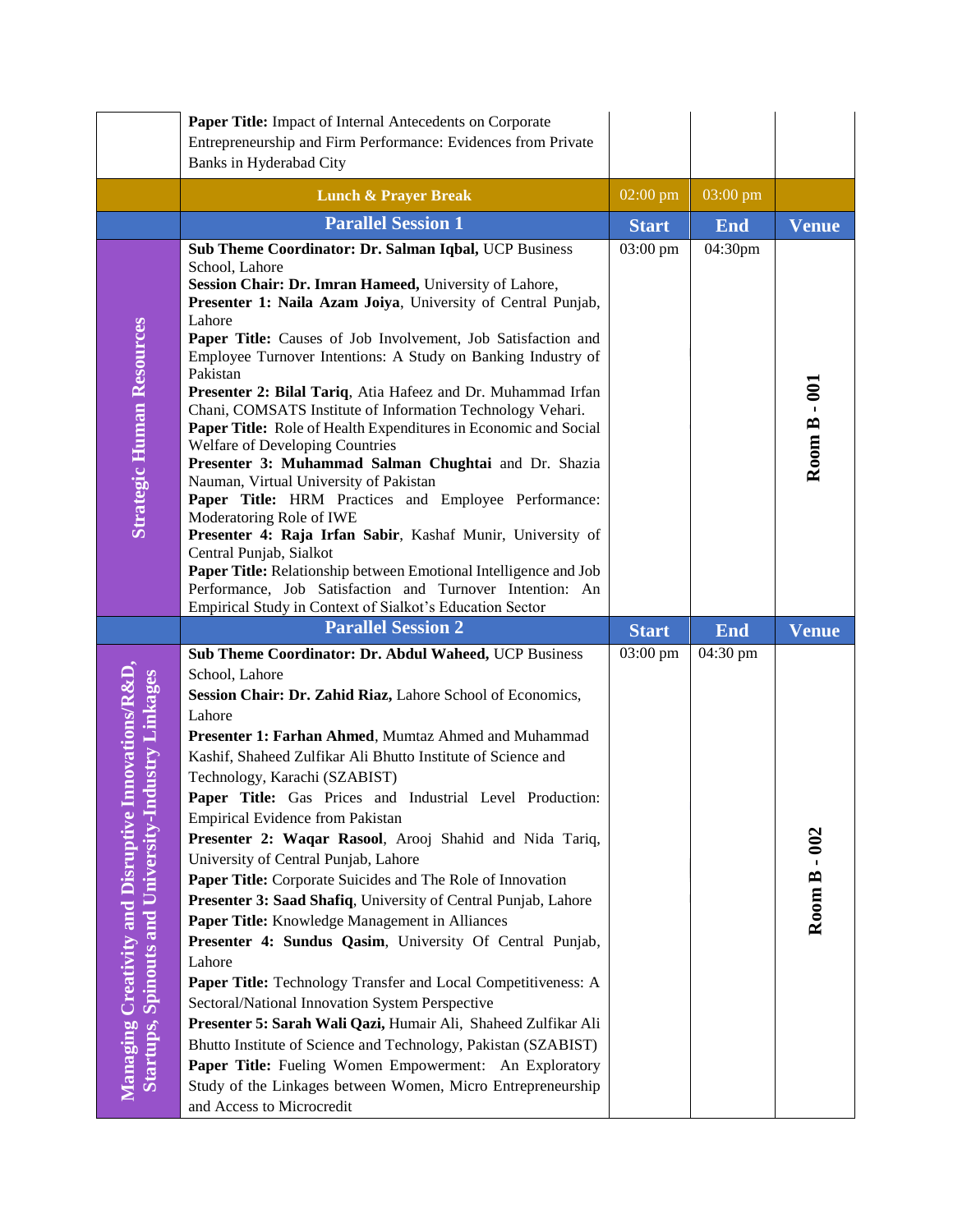|                                                                                                              | Paper Title: Impact of Internal Antecedents on Corporate<br>Entrepreneurship and Firm Performance: Evidences from Private                                                                                                                                                                                                                                                                                                                                                                                                                                                                                                                                                                                                                                                                                                                                                                                                                                                                                                                                                                                                                                                         |                    |            |              |
|--------------------------------------------------------------------------------------------------------------|-----------------------------------------------------------------------------------------------------------------------------------------------------------------------------------------------------------------------------------------------------------------------------------------------------------------------------------------------------------------------------------------------------------------------------------------------------------------------------------------------------------------------------------------------------------------------------------------------------------------------------------------------------------------------------------------------------------------------------------------------------------------------------------------------------------------------------------------------------------------------------------------------------------------------------------------------------------------------------------------------------------------------------------------------------------------------------------------------------------------------------------------------------------------------------------|--------------------|------------|--------------|
|                                                                                                              | Banks in Hyderabad City                                                                                                                                                                                                                                                                                                                                                                                                                                                                                                                                                                                                                                                                                                                                                                                                                                                                                                                                                                                                                                                                                                                                                           |                    |            |              |
|                                                                                                              | <b>Lunch &amp; Prayer Break</b>                                                                                                                                                                                                                                                                                                                                                                                                                                                                                                                                                                                                                                                                                                                                                                                                                                                                                                                                                                                                                                                                                                                                                   | $02:00 \text{ pm}$ | 03:00 pm   |              |
|                                                                                                              | <b>Parallel Session 1</b>                                                                                                                                                                                                                                                                                                                                                                                                                                                                                                                                                                                                                                                                                                                                                                                                                                                                                                                                                                                                                                                                                                                                                         | <b>Start</b>       | <b>End</b> | <b>Venue</b> |
| <b>Strategic Human Resources</b>                                                                             | Sub Theme Coordinator: Dr. Salman Iqbal, UCP Business<br>School, Lahore<br>Session Chair: Dr. Imran Hameed, University of Lahore,<br>Presenter 1: Naila Azam Joiya, University of Central Punjab,<br>Lahore<br>Paper Title: Causes of Job Involvement, Job Satisfaction and<br>Employee Turnover Intentions: A Study on Banking Industry of<br>Pakistan<br>Presenter 2: Bilal Tariq, Atia Hafeez and Dr. Muhammad Irfan<br>Chani, COMSATS Institute of Information Technology Vehari.<br>Paper Title: Role of Health Expenditures in Economic and Social<br>Welfare of Developing Countries<br>Presenter 3: Muhammad Salman Chughtai and Dr. Shazia<br>Nauman, Virtual University of Pakistan<br>Paper Title: HRM Practices and Employee Performance:<br>Moderatoring Role of IWE<br>Presenter 4: Raja Irfan Sabir, Kashaf Munir, University of<br>Central Punjab, Sialkot<br>Paper Title: Relationship between Emotional Intelligence and Job<br>Performance, Job Satisfaction and Turnover Intention: An<br>Empirical Study in Context of Sialkot's Education Sector                                                                                                            | 03:00 pm           | 04:30pm    | Room B - 001 |
|                                                                                                              | <b>Parallel Session 2</b>                                                                                                                                                                                                                                                                                                                                                                                                                                                                                                                                                                                                                                                                                                                                                                                                                                                                                                                                                                                                                                                                                                                                                         | <b>Start</b>       | <b>End</b> | Venue        |
| Innovations/R&D<br>Startups, Spinouts and University-Industry Linkages<br>Managing Creativity and Disruptive | Sub Theme Coordinator: Dr. Abdul Waheed, UCP Business<br>School, Lahore<br>Session Chair: Dr. Zahid Riaz, Lahore School of Economics,<br>Lahore<br>Presenter 1: Farhan Ahmed, Mumtaz Ahmed and Muhammad<br>Kashif, Shaheed Zulfikar Ali Bhutto Institute of Science and<br>Technology, Karachi (SZABIST)<br>Paper Title: Gas Prices and Industrial Level Production:<br>Empirical Evidence from Pakistan<br>Presenter 2: Waqar Rasool, Arooj Shahid and Nida Tariq,<br>University of Central Punjab, Lahore<br>Paper Title: Corporate Suicides and The Role of Innovation<br>Presenter 3: Saad Shafiq, University of Central Punjab, Lahore<br>Paper Title: Knowledge Management in Alliances<br>Presenter 4: Sundus Qasim, University Of Central Punjab,<br>Lahore<br>Paper Title: Technology Transfer and Local Competitiveness: A<br>Sectoral/National Innovation System Perspective<br>Presenter 5: Sarah Wali Qazi, Humair Ali, Shaheed Zulfikar Ali<br>Bhutto Institute of Science and Technology, Pakistan (SZABIST)<br>Paper Title: Fueling Women Empowerment: An Exploratory<br>Study of the Linkages between Women, Micro Entrepreneurship<br>and Access to Microcredit | 03:00 pm           | 04:30 pm   | Room B - 002 |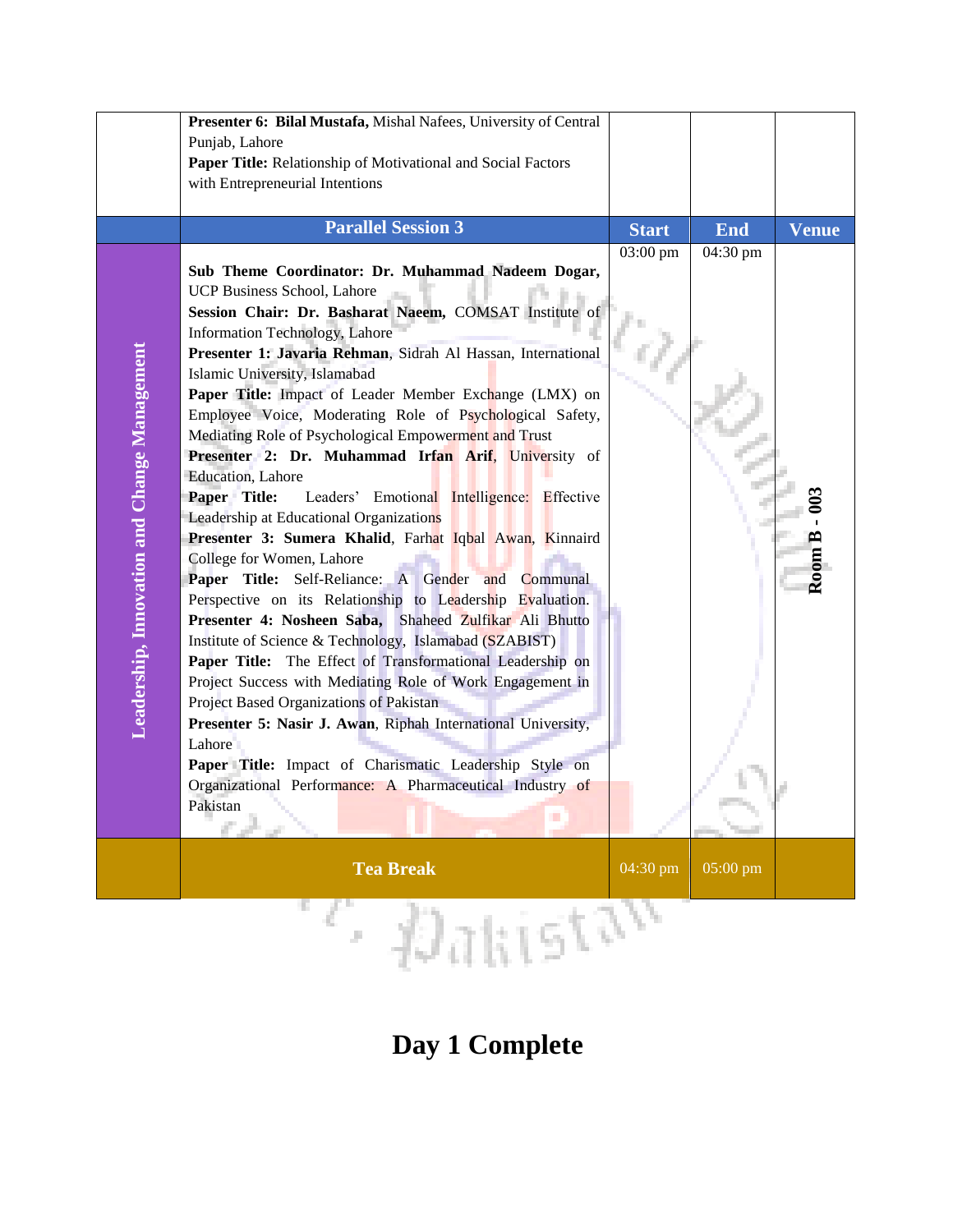|                                              | Presenter 6: Bilal Mustafa, Mishal Nafees, University of Central<br>Punjab, Lahore<br>Paper Title: Relationship of Motivational and Social Factors<br>with Entrepreneurial Intentions                                                                                                                                                                                                                                                                                                                                                                                                                                                                                                                                                                                                                                                                                                                                                                                                                                                                                                                                                                                                                                                                                                                                                                                 |              |            |              |
|----------------------------------------------|-----------------------------------------------------------------------------------------------------------------------------------------------------------------------------------------------------------------------------------------------------------------------------------------------------------------------------------------------------------------------------------------------------------------------------------------------------------------------------------------------------------------------------------------------------------------------------------------------------------------------------------------------------------------------------------------------------------------------------------------------------------------------------------------------------------------------------------------------------------------------------------------------------------------------------------------------------------------------------------------------------------------------------------------------------------------------------------------------------------------------------------------------------------------------------------------------------------------------------------------------------------------------------------------------------------------------------------------------------------------------|--------------|------------|--------------|
|                                              | <b>Parallel Session 3</b>                                                                                                                                                                                                                                                                                                                                                                                                                                                                                                                                                                                                                                                                                                                                                                                                                                                                                                                                                                                                                                                                                                                                                                                                                                                                                                                                             | <b>Start</b> | <b>End</b> | <b>Venue</b> |
| Leadership, Innovation and Change Management | Sub Theme Coordinator: Dr. Muhammad Nadeem Dogar,<br>UCP Business School, Lahore<br>Session Chair: Dr. Basharat Naeem, COMSAT Institute of<br>Information Technology, Lahore<br>Presenter 1: Javaria Rehman, Sidrah Al Hassan, International<br>Islamic University, Islamabad<br>Paper Title: Impact of Leader Member Exchange (LMX) on<br>Employee Voice, Moderating Role of Psychological Safety,<br>Mediating Role of Psychological Empowerment and Trust<br>Presenter 2: Dr. Muhammad Irfan Arif, University of<br>Education, Lahore<br>Paper Title:<br>Leaders' Emotional Intelligence: Effective<br>Leadership at Educational Organizations<br>Presenter 3: Sumera Khalid, Farhat Iqbal Awan, Kinnaird<br>College for Women, Lahore<br>Paper Title: Self-Reliance: A Gender and Communal<br>Perspective on its Relationship to Leadership Evaluation.<br>Presenter 4: Nosheen Saba, Shaheed Zulfikar Ali Bhutto<br>Institute of Science & Technology, Islamabad (SZABIST)<br>Paper Title: The Effect of Transformational Leadership on<br>Project Success with Mediating Role of Work Engagement in<br>Project Based Organizations of Pakistan<br>Presenter 5: Nasir J. Awan, Riphah International University,<br>Lahore<br>Paper Title: Impact of Charismatic Leadership Style on<br>Organizational Performance: A Pharmaceutical Industry of<br>Pakistan<br>п | 03:00 pm     | 04:30 pm   | Room B       |
|                                              | <b>Tea Break</b>                                                                                                                                                                                                                                                                                                                                                                                                                                                                                                                                                                                                                                                                                                                                                                                                                                                                                                                                                                                                                                                                                                                                                                                                                                                                                                                                                      | 04:30 pm     | 05:00 pm   |              |
| ety <sub>n</sub><br>Æ                        |                                                                                                                                                                                                                                                                                                                                                                                                                                                                                                                                                                                                                                                                                                                                                                                                                                                                                                                                                                                                                                                                                                                                                                                                                                                                                                                                                                       |              |            |              |

## **Day 1 Complete**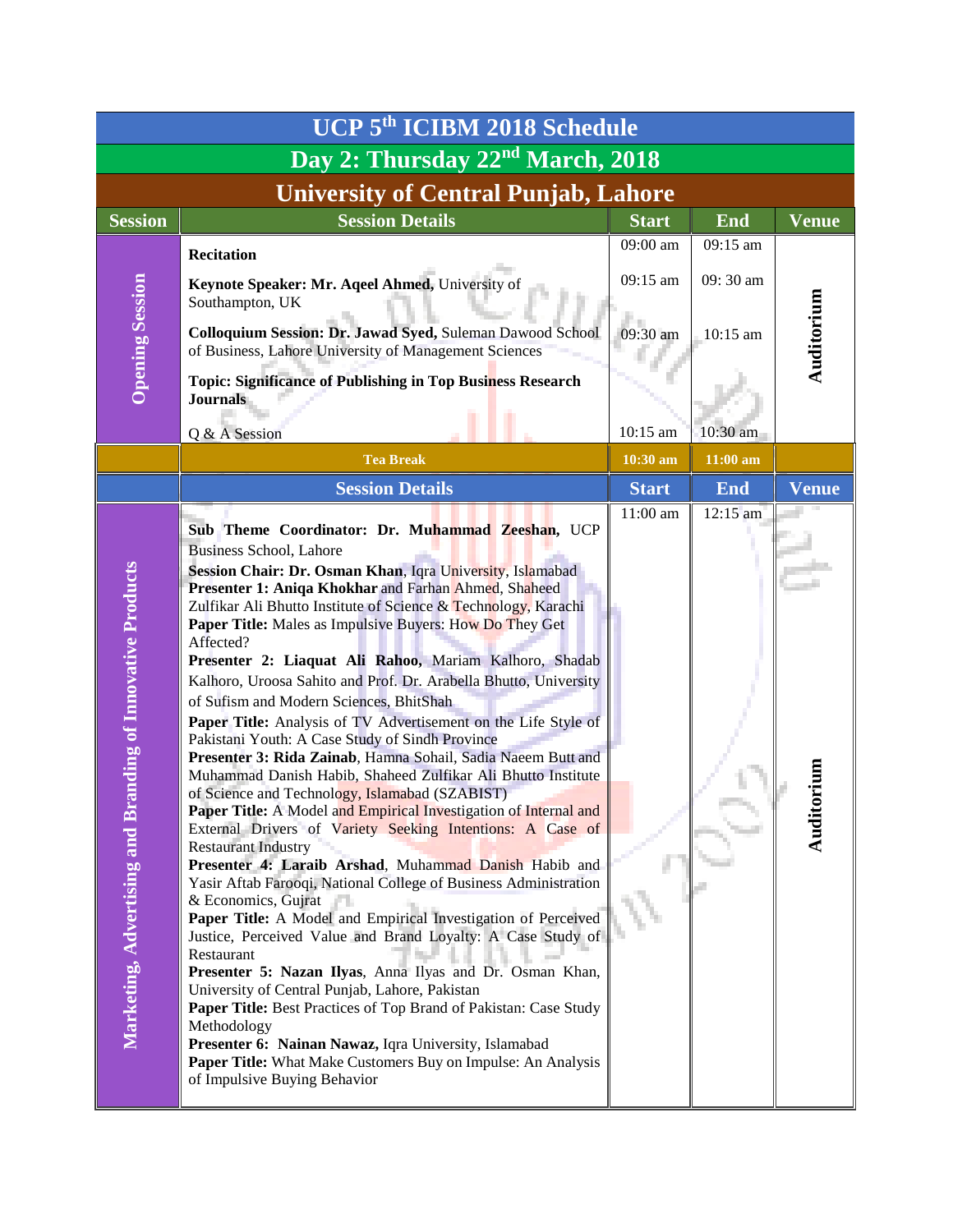| UCP 5th ICIBM 2018 Schedule                                    |                                                                                                                                                                                                                                                                                                                                                                                                                                                                                                                                                                                                                                                                                                                                                                                                                                                                                                                                                                                                                                                                                                                                                                                                                                                                                                                                                                                                                                                                                                                                                                                                                                                                            |              |            |              |
|----------------------------------------------------------------|----------------------------------------------------------------------------------------------------------------------------------------------------------------------------------------------------------------------------------------------------------------------------------------------------------------------------------------------------------------------------------------------------------------------------------------------------------------------------------------------------------------------------------------------------------------------------------------------------------------------------------------------------------------------------------------------------------------------------------------------------------------------------------------------------------------------------------------------------------------------------------------------------------------------------------------------------------------------------------------------------------------------------------------------------------------------------------------------------------------------------------------------------------------------------------------------------------------------------------------------------------------------------------------------------------------------------------------------------------------------------------------------------------------------------------------------------------------------------------------------------------------------------------------------------------------------------------------------------------------------------------------------------------------------------|--------------|------------|--------------|
| Day 2: Thursday 22 <sup>nd</sup> March, 2018                   |                                                                                                                                                                                                                                                                                                                                                                                                                                                                                                                                                                                                                                                                                                                                                                                                                                                                                                                                                                                                                                                                                                                                                                                                                                                                                                                                                                                                                                                                                                                                                                                                                                                                            |              |            |              |
|                                                                | <b>University of Central Punjab, Lahore</b>                                                                                                                                                                                                                                                                                                                                                                                                                                                                                                                                                                                                                                                                                                                                                                                                                                                                                                                                                                                                                                                                                                                                                                                                                                                                                                                                                                                                                                                                                                                                                                                                                                |              |            |              |
| <b>Session</b>                                                 | <b>Session Details</b>                                                                                                                                                                                                                                                                                                                                                                                                                                                                                                                                                                                                                                                                                                                                                                                                                                                                                                                                                                                                                                                                                                                                                                                                                                                                                                                                                                                                                                                                                                                                                                                                                                                     | <b>Start</b> | <b>End</b> | Venue        |
|                                                                | <b>Recitation</b>                                                                                                                                                                                                                                                                                                                                                                                                                                                                                                                                                                                                                                                                                                                                                                                                                                                                                                                                                                                                                                                                                                                                                                                                                                                                                                                                                                                                                                                                                                                                                                                                                                                          | 09:00 am     | 09:15 am   |              |
|                                                                | Keynote Speaker: Mr. Aqeel Ahmed, University of<br>Southampton, UK                                                                                                                                                                                                                                                                                                                                                                                                                                                                                                                                                                                                                                                                                                                                                                                                                                                                                                                                                                                                                                                                                                                                                                                                                                                                                                                                                                                                                                                                                                                                                                                                         | 09:15 am     | 09:30 am   |              |
| <b>Opening Session</b>                                         | Colloquium Session: Dr. Jawad Syed, Suleman Dawood School<br>of Business, Lahore University of Management Sciences                                                                                                                                                                                                                                                                                                                                                                                                                                                                                                                                                                                                                                                                                                                                                                                                                                                                                                                                                                                                                                                                                                                                                                                                                                                                                                                                                                                                                                                                                                                                                         | 09:30 am     | $10:15$ am | Auditorium   |
|                                                                | Topic: Significance of Publishing in Top Business Research<br><b>Journals</b>                                                                                                                                                                                                                                                                                                                                                                                                                                                                                                                                                                                                                                                                                                                                                                                                                                                                                                                                                                                                                                                                                                                                                                                                                                                                                                                                                                                                                                                                                                                                                                                              |              |            |              |
|                                                                | Q & A Session                                                                                                                                                                                                                                                                                                                                                                                                                                                                                                                                                                                                                                                                                                                                                                                                                                                                                                                                                                                                                                                                                                                                                                                                                                                                                                                                                                                                                                                                                                                                                                                                                                                              | 10:15 am     | 10:30 am   |              |
|                                                                | <b>Tea Break</b>                                                                                                                                                                                                                                                                                                                                                                                                                                                                                                                                                                                                                                                                                                                                                                                                                                                                                                                                                                                                                                                                                                                                                                                                                                                                                                                                                                                                                                                                                                                                                                                                                                                           | 10:30 am     | $11:00$ am |              |
|                                                                | <b>Session Details</b>                                                                                                                                                                                                                                                                                                                                                                                                                                                                                                                                                                                                                                                                                                                                                                                                                                                                                                                                                                                                                                                                                                                                                                                                                                                                                                                                                                                                                                                                                                                                                                                                                                                     | <b>Start</b> | <b>End</b> | <b>Venue</b> |
| randing of Innovative Products<br>Marketing, Advertising and B | Sub Theme Coordinator: Dr. Muhammad Zeeshan, UCP<br><b>Business School, Lahore</b><br>Session Chair: Dr. Osman Khan, Iqra University, Islamabad<br>Presenter 1: Aniqa Khokhar and Farhan Ahmed, Shaheed<br>Zulfikar Ali Bhutto Institute of Science & Technology, Karachi<br><b>Paper Title:</b> Males as Impulsive Buyers: How Do They Get<br>Affected?<br>Presenter 2: Liaquat Ali Rahoo, Mariam Kalhoro, Shadab<br>Kalhoro, Uroosa Sahito and Prof. Dr. Arabella Bhutto, University<br>of Sufism and Modern Sciences, BhitShah<br>Paper Title: Analysis of TV Advertisement on the Life Style of<br>Pakistani Youth: A Case Study of Sindh Province<br>Presenter 3: Rida Zainab, Hamna Sohail, Sadia Naeem Butt and<br>Muhammad Danish Habib, Shaheed Zulfikar Ali Bhutto Institute<br>of Science and Technology, Islamabad (SZABIST)<br><b>Paper Title:</b> A Model and Empirical Investigation of Internal and<br>External Drivers of Variety Seeking Intentions: A Case of<br><b>Restaurant Industry</b><br>Presenter 4: Laraib Arshad, Muhammad Danish Habib and<br>Yasir Aftab Farooqi, National College of Business Administration<br>& Economics, Gujrat<br>Paper Title: A Model and Empirical Investigation of Perceived<br>Justice, Perceived Value and Brand Loyalty: A Case Study of<br>Restaurant<br>Presenter 5: Nazan Ilyas, Anna Ilyas and Dr. Osman Khan,<br>University of Central Punjab, Lahore, Pakistan<br>Paper Title: Best Practices of Top Brand of Pakistan: Case Study<br>Methodology<br>Presenter 6: Nainan Nawaz, Iqra University, Islamabad<br>Paper Title: What Make Customers Buy on Impulse: An Analysis<br>of Impulsive Buying Behavior | 11:00 am     | $12:15$ am | Audit        |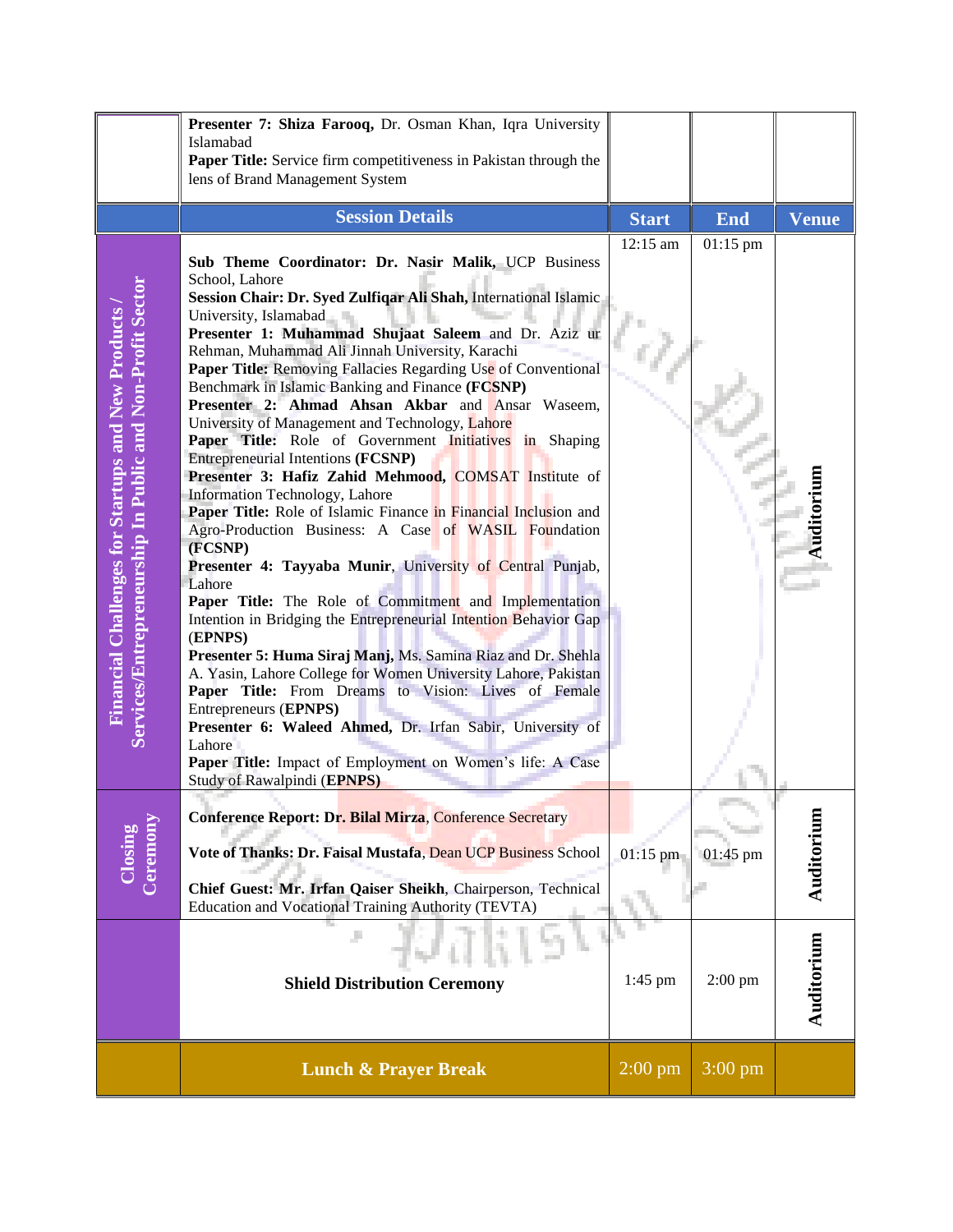|                                                                                                                 | Presenter 7: Shiza Farooq, Dr. Osman Khan, Iqra University<br>Islamabad<br>Paper Title: Service firm competitiveness in Pakistan through the<br>lens of Brand Management System                                                                                                                                                                                                                                                                                                                                                                                                                                                                                                                                                                                                                                                                                                                                                                                                                                                                                                                                                                                                                                                                                                                                                                                                                                                                  |                      |                    |              |
|-----------------------------------------------------------------------------------------------------------------|--------------------------------------------------------------------------------------------------------------------------------------------------------------------------------------------------------------------------------------------------------------------------------------------------------------------------------------------------------------------------------------------------------------------------------------------------------------------------------------------------------------------------------------------------------------------------------------------------------------------------------------------------------------------------------------------------------------------------------------------------------------------------------------------------------------------------------------------------------------------------------------------------------------------------------------------------------------------------------------------------------------------------------------------------------------------------------------------------------------------------------------------------------------------------------------------------------------------------------------------------------------------------------------------------------------------------------------------------------------------------------------------------------------------------------------------------|----------------------|--------------------|--------------|
|                                                                                                                 | <b>Session Details</b>                                                                                                                                                                                                                                                                                                                                                                                                                                                                                                                                                                                                                                                                                                                                                                                                                                                                                                                                                                                                                                                                                                                                                                                                                                                                                                                                                                                                                           | <b>Start</b>         | <b>End</b>         | <b>Venue</b> |
| Services/Entrepreneurship In Public and Non-Profit Sector<br>Financial Challenges for Startups and New Products | Sub Theme Coordinator: Dr. Nasir Malik, UCP Business<br>School, Lahore<br>Session Chair: Dr. Syed Zulfiqar Ali Shah, International Islamic<br>University, Islamabad<br>Presenter 1: Muhammad Shujaat Saleem and Dr. Aziz ur<br>Rehman, Muhammad Ali Jinnah University, Karachi<br>Paper Title: Removing Fallacies Regarding Use of Conventional<br>Benchmark in Islamic Banking and Finance (FCSNP)<br>Presenter 2: Ahmad Ahsan Akbar and Ansar Waseem,<br>University of Management and Technology, Lahore<br>Paper Title: Role of Government Initiatives in Shaping<br>Entrepreneurial Intentions (FCSNP)<br>Presenter 3: Hafiz Zahid Mehmood, COMSAT Institute of<br>Information Technology, Lahore<br>Paper Title: Role of Islamic Finance in Financial Inclusion and<br>Agro-Production Business: A Case of WASIL Foundation<br>(FCSNP)<br>Presenter 4: Tayyaba Munir, University of Central Punjab,<br>Lahore<br>Paper Title: The Role of Commitment and Implementation<br>Intention in Bridging the Entrepreneurial Intention Behavior Gap<br>(EPNPS)<br>Presenter 5: Huma Siraj Manj, Ms. Samina Riaz and Dr. Shehla<br>A. Yasin, Lahore College for Women University Lahore, Pakistan<br>Paper Title: From Dreams to Vision: Lives of Female<br>Entrepreneurs (EPNPS)<br>Presenter 6: Waleed Ahmed, Dr. Irfan Sabir, University of<br>Lahore<br>Paper Title: Impact of Employment on Women's life: A Case<br>Study of Rawalpindi (EPNPS) | 12:15 am             | 01:15 pm           | Auditorium   |
| Closing<br>Ceremony                                                                                             | <b>Conference Report: Dr. Bilal Mirza, Conference Secretary</b><br>Vote of Thanks: Dr. Faisal Mustafa, Dean UCP Business School<br>Chief Guest: Mr. Irfan Qaiser Sheikh, Chairperson, Technical<br>Education and Vocational Training Authority (TEVTA)                                                                                                                                                                                                                                                                                                                                                                                                                                                                                                                                                                                                                                                                                                                                                                                                                                                                                                                                                                                                                                                                                                                                                                                           | $01:15$ pm           | $01:45 \text{ pm}$ | Auditorium   |
|                                                                                                                 | <b>Shield Distribution Ceremony</b>                                                                                                                                                                                                                                                                                                                                                                                                                                                                                                                                                                                                                                                                                                                                                                                                                                                                                                                                                                                                                                                                                                                                                                                                                                                                                                                                                                                                              | $1:45$ pm            | $2:00$ pm          | Auditorium   |
|                                                                                                                 | <b>Lunch &amp; Prayer Break</b>                                                                                                                                                                                                                                                                                                                                                                                                                                                                                                                                                                                                                                                                                                                                                                                                                                                                                                                                                                                                                                                                                                                                                                                                                                                                                                                                                                                                                  | $2:00 \,\mathrm{pm}$ | $3:00 \text{ pm}$  |              |